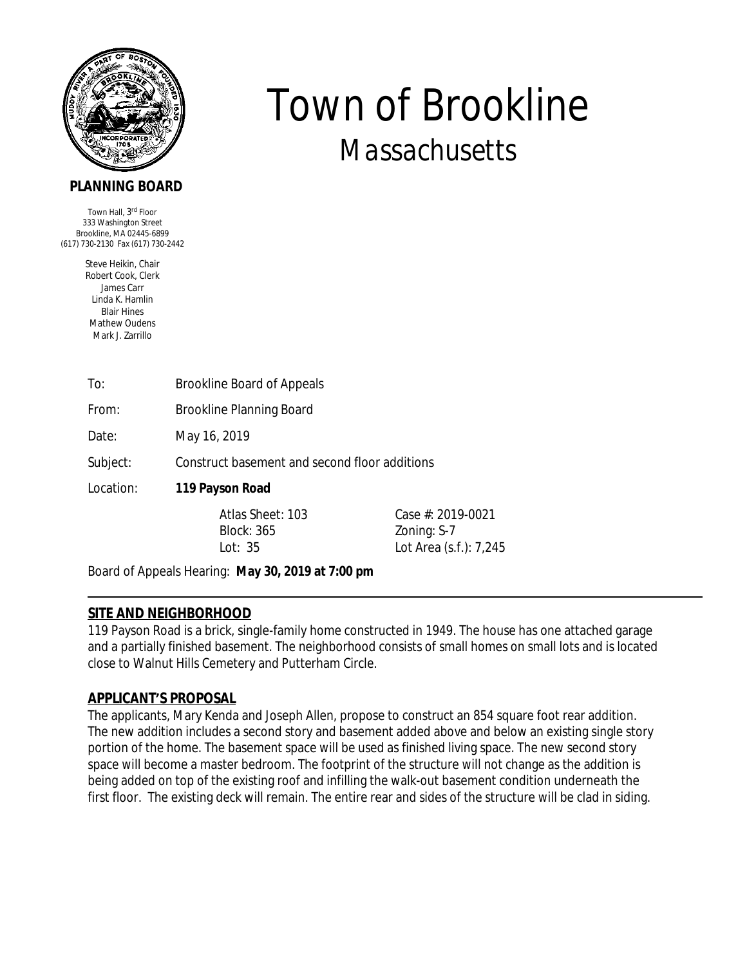

# **PLANNING BOARD**

Town Hall, 3<sup>rd</sup> Floor 333 Washington Street Brookline, MA 02445-6899 (617) 730-2130 Fax (617) 730-2442

> Steve Heikin, Chair Robert Cook, Clerk James Carr Linda K. Hamlin Blair Hines Mathew Oudens Mark J. Zarrillo

| To: | <b>Brookline Board of Appeals</b> |  |
|-----|-----------------------------------|--|
|     |                                   |  |

From: Brookline Planning Board

Date: May 16, 2019

Subject: Construct basement and second floor additions

Location: **119 Payson Road** 

Block: 365 Zoning: S-7

Atlas Sheet: 103 Case #: 2019-0021 Lot Area (s.f.): 7,245

*Town of Brookline*

*Massachusetts*

Board of Appeals Hearing: **May 30, 2019 at 7:00 pm**

## **SITE AND NEIGHBORHOOD**

119 Payson Road is a brick, single-family home constructed in 1949. The house has one attached garage and a partially finished basement. The neighborhood consists of small homes on small lots and is located close to Walnut Hills Cemetery and Putterham Circle.

## **APPLICANT'S PROPOSAL**

The applicants, Mary Kenda and Joseph Allen, propose to construct an 854 square foot rear addition. The new addition includes a second story and basement added above and below an existing single story portion of the home. The basement space will be used as finished living space. The new second story space will become a master bedroom. The footprint of the structure will not change as the addition is being added on top of the existing roof and infilling the walk-out basement condition underneath the first floor. The existing deck will remain. The entire rear and sides of the structure will be clad in siding.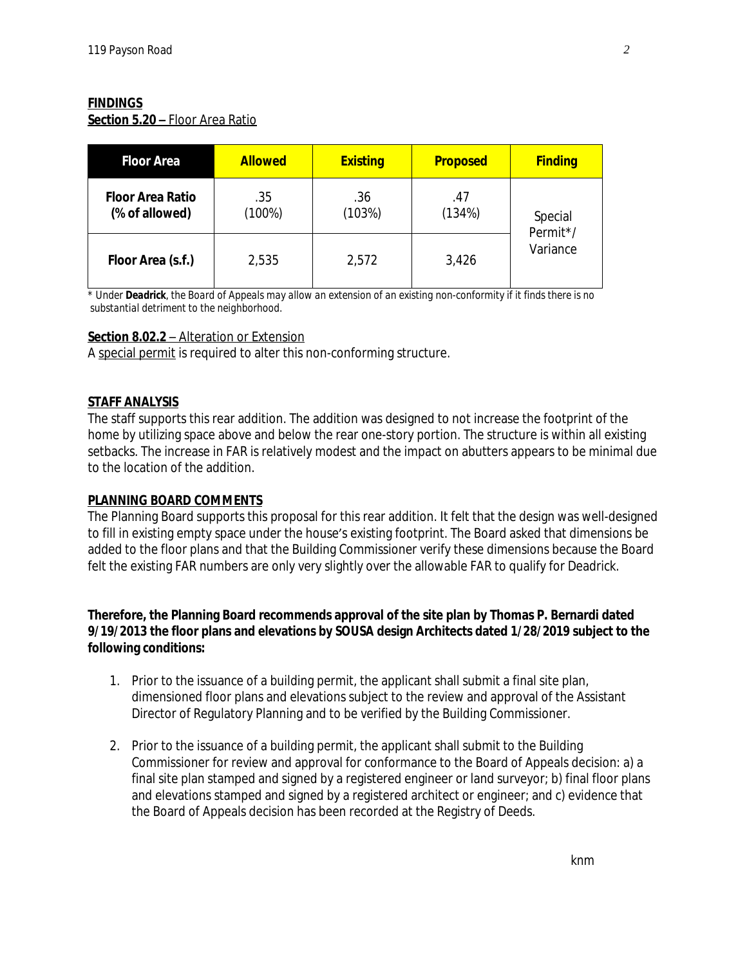### **FINDINGS**

**Section 5.20 –** Floor Area Ratio

| <b>Floor Area</b>                         | <b>Allowed</b>   | <b>Existing</b> | <b>Proposed</b> | <b>Finding</b>                  |
|-------------------------------------------|------------------|-----------------|-----------------|---------------------------------|
| <b>Floor Area Ratio</b><br>(% of allowed) | .35<br>$(100\%)$ | .36<br>(103%)   | .47<br>(134%)   | Special<br>Permit*/<br>Variance |
| Floor Area (s.f.)                         | 2,535            | 2,572           | 3,426           |                                 |

\* *Under Deadrick, the Board of Appeals may allow an extension of an existing non-conformity if it finds there is no substantial detriment to the neighborhood.*

### **Section 8.02.2** – Alteration or Extension

A special permit is required to alter this non-conforming structure.

### **STAFF ANALYSIS**

The staff supports this rear addition. The addition was designed to not increase the footprint of the home by utilizing space above and below the rear one-story portion. The structure is within all existing setbacks. The increase in FAR is relatively modest and the impact on abutters appears to be minimal due to the location of the addition.

#### **PLANNING BOARD COMMENTS**

The Planning Board supports this proposal for this rear addition. It felt that the design was well-designed to fill in existing empty space under the house's existing footprint. The Board asked that dimensions be added to the floor plans and that the Building Commissioner verify these dimensions because the Board felt the existing FAR numbers are only very slightly over the allowable FAR to qualify for Deadrick.

#### **Therefore, the Planning Board recommends approval of the site plan by Thomas P. Bernardi dated 9/19/2013 the floor plans and elevations by SOUSA design Architects dated 1/28/2019 subject to the following conditions:**

- 1. Prior to the issuance of a building permit, the applicant shall submit a final site plan, dimensioned floor plans and elevations subject to the review and approval of the Assistant Director of Regulatory Planning and to be verified by the Building Commissioner.
- 2. Prior to the issuance of a building permit, the applicant shall submit to the Building Commissioner for review and approval for conformance to the Board of Appeals decision: a) a final site plan stamped and signed by a registered engineer or land surveyor; b) final floor plans and elevations stamped and signed by a registered architect or engineer; and c) evidence that the Board of Appeals decision has been recorded at the Registry of Deeds.